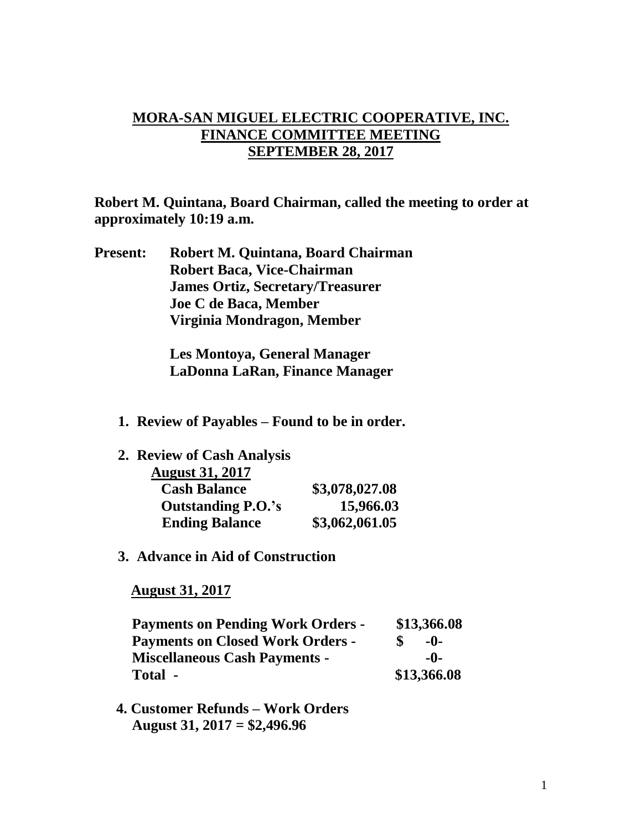## **MORA-SAN MIGUEL ELECTRIC COOPERATIVE, INC. FINANCE COMMITTEE MEETING SEPTEMBER 28, 2017**

**Robert M. Quintana, Board Chairman, called the meeting to order at approximately 10:19 a.m.**

**Present: Robert M. Quintana, Board Chairman Robert Baca, Vice-Chairman James Ortiz, Secretary/Treasurer Joe C de Baca, Member Virginia Mondragon, Member**

> **Les Montoya, General Manager LaDonna LaRan, Finance Manager**

**1. Review of Payables – Found to be in order.**

| 2. Review of Cash Analysis |                |
|----------------------------|----------------|
| <b>August 31, 2017</b>     |                |
| <b>Cash Balance</b>        | \$3,078,027.08 |
| <b>Outstanding P.O.'s</b>  | 15,966.03      |
| <b>Ending Balance</b>      | \$3,062,061.05 |

**3. Advance in Aid of Construction**

 **August 31, 2017**

| <b>Payments on Pending Work Orders -</b> | \$13,366.08 |
|------------------------------------------|-------------|
| <b>Payments on Closed Work Orders -</b>  | $-0-$       |
| <b>Miscellaneous Cash Payments -</b>     | -0-         |
| Total -                                  | \$13,366.08 |

 **4. Customer Refunds – Work Orders August 31, 2017 = \$2,496.96**